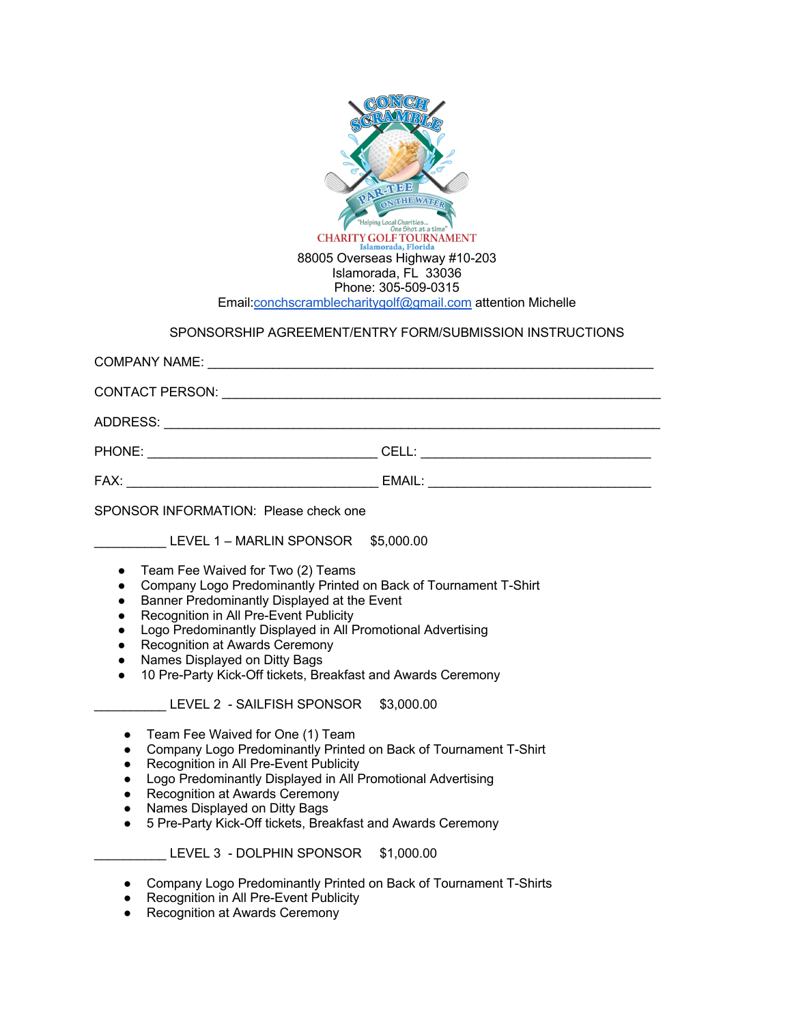

- Recognition in All Pre-Event Publicity
- Logo Predominantly Displayed in All Promotional Advertising
- Recognition at Awards Ceremony
- Names Displayed on Ditty Bags
- 10 Pre-Party Kick-Off tickets, Breakfast and Awards Ceremony

LEVEL 2 - SAILFISH SPONSOR \$3,000.00

- Team Fee Waived for One (1) Team
- Company Logo Predominantly Printed on Back of Tournament T-Shirt
- Recognition in All Pre-Event Publicity<br>● Logo Predominantly Displayed in All F
- Logo Predominantly Displayed in All Promotional Advertising
- **Recognition at Awards Ceremony**
- Names Displayed on Ditty Bags
- 5 Pre-Party Kick-Off tickets, Breakfast and Awards Ceremony

LEVEL 3 - DOLPHIN SPONSOR \$1,000.00

- Company Logo Predominantly Printed on Back of Tournament T-Shirts
- **Recognition in All Pre-Event Publicity**
- **Recognition at Awards Ceremony**